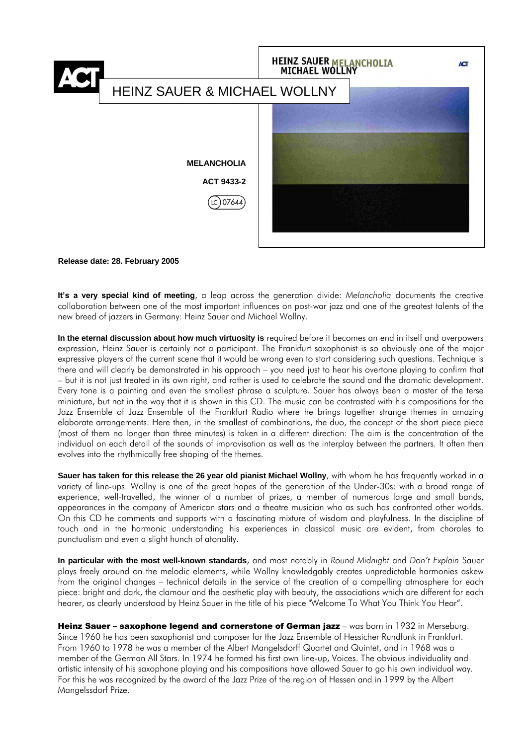

#### **Release date: 28. February 2005**

**It's a very special kind of meeting**, a leap across the generation divide: *Melancholia* documents the creative collaboration between one of the most important influences on post-war jazz and one of the greatest talents of the new breed of jazzers in Germany: Heinz Sauer and Michael Wollny.

**In the eternal discussion about how much virtuosity is** required before it becomes an end in itself and overpowers expression, Heinz Sauer is certainly not a participant. The Frankfurt saxophonist is so obviously one of the major expressive players of the current scene that it would be wrong even to start considering such questions. Technique is there and will clearly be demonstrated in his approach – you need just to hear his overtone playing to confirm that – but it is not just treated in its own right, and rather is used to celebrate the sound and the dramatic development. Every tone is a painting and even the smallest phrase a sculpture. Sauer has always been a master of the terse miniature, but not in the way that it is shown in this CD. The music can be contrasted with his compositions for the Jazz Ensemble of Jazz Ensemble of the Frankfurt Radio where he brings together strange themes in amazing elaborate arrangements. Here then, in the smallest of combinations, the duo, the concept of the short piece piece (most of them no longer than three minutes) is taken in a different direction: The aim is the concentration of the individual on each detail of the sounds of improvisation as well as the interplay between the partners. It often then evolves into the rhythmically free shaping of the themes.

**Sauer has taken for this release the 26 year old pianist Michael Wollny**, with whom he has frequently worked in a variety of line-ups. Wollny is one of the great hopes of the generation of the Under-30s: with a broad range of experience, well-travelled, the winner of a number of prizes, a member of numerous large and small bands, appearances in the company of American stars and a theatre musician who as such has confronted other worlds. On this CD he comments and supports with a fascinating mixture of wisdom and playfulness. In the discipline of touch and in the harmonic understanding his experiences in classical music are evident, from chorales to punctualism and even a slight hunch of atonality.

**In particular with the most well-known standards**, and most notably in *Round Midnight* and *Don't Explain* Sauer plays freely around on the melodic elements, while Wollny knowledgably creates unpredictable harmonies askew from the original changes – technical details in the service of the creation of a compelling atmosphere for each piece: bright and dark, the clamour and the aesthetic play with beauty, the associations which are different for each hearer, as clearly understood by Heinz Sauer in the title of his piece "Welcome To What You Think You Hear".

Heinz Sauer - saxophone legend and cornerstone of German jazz - was born in 1932 in Merseburg. Since 1960 he has been saxophonist and composer for the Jazz Ensemble of Hessicher Rundfunk in Frankfurt. From 1960 to 1978 he was a member of the Albert Mangelsdorff Quartet and Quintet, and in 1968 was a member of the German All Stars. In 1974 he formed his first own line-up, Voices. The obvious individuality and artistic intensity of his saxophone playing and his compositions have allowed Sauer to go his own individual way. For this he was recognized by the award of the Jazz Prize of the region of Hessen and in 1999 by the Albert Mangelssdorf Prize.